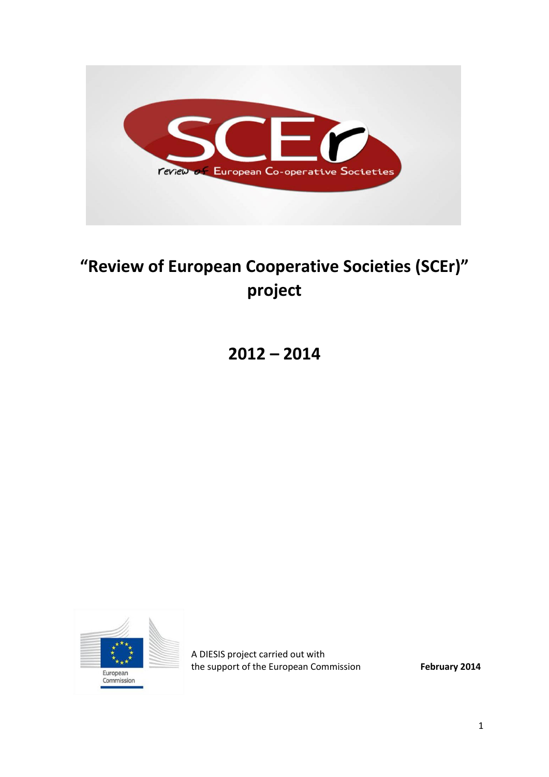

# **"Review of European Cooperative Societies (SCEr)" project**

**2012 – 2014**



A DIESIS project carried out with the support of the European Commission **February 2014**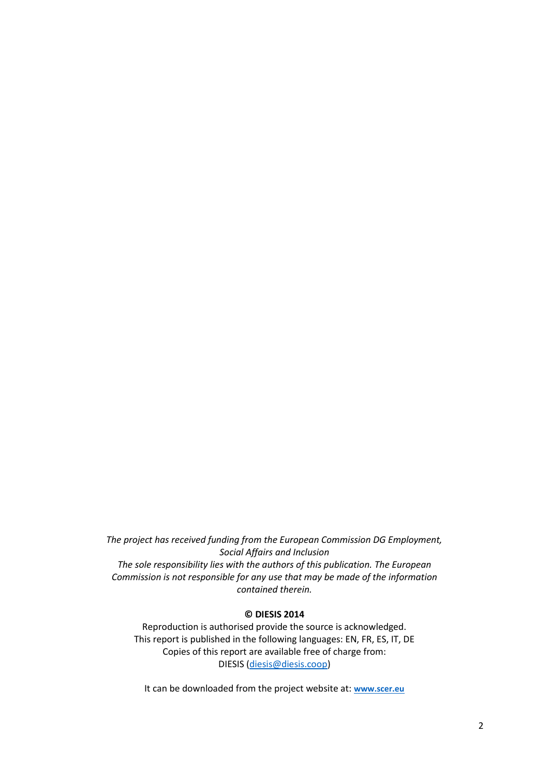*The project has received funding from the European Commission DG Employment, Social Affairs and Inclusion The sole responsibility lies with the authors of this publication. The European Commission is not responsible for any use that may be made of the information contained therein.*

#### **© DIESIS 2014**

Reproduction is authorised provide the source is acknowledged. This report is published in the following languages: EN, FR, ES, IT, DE Copies of this report are available free of charge from: DIESIS [\(diesis@diesis.coop\)](mailto:diesis@diesis.coop)

It can be downloaded from the project website at: **[www.scer.eu](http://www.scer.eu/)**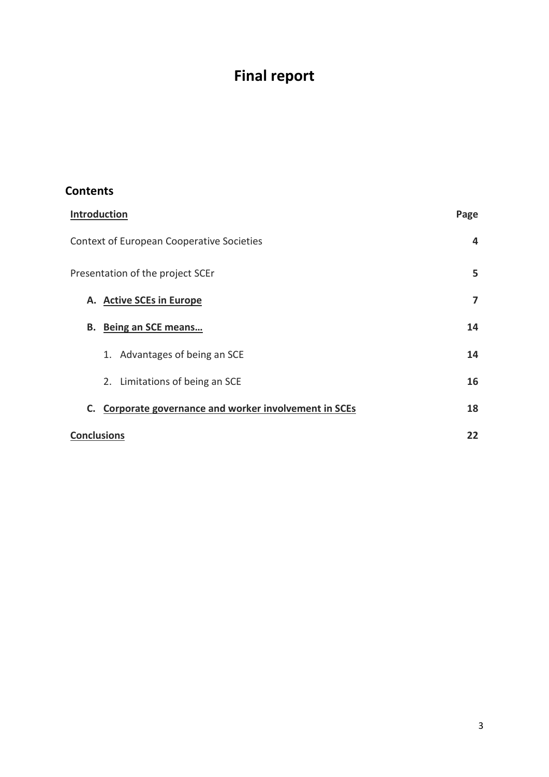## **Final report**

## **Contents**

<span id="page-2-0"></span>

| <b>Introduction</b>                                    | Page |
|--------------------------------------------------------|------|
| Context of European Cooperative Societies              | 4    |
| Presentation of the project SCEr                       | 5    |
| A. Active SCEs in Europe                               | 7    |
| B. Being an SCE means                                  | 14   |
| 1. Advantages of being an SCE                          | 14   |
| 2. Limitations of being an SCE                         | 16   |
| C. Corporate governance and worker involvement in SCEs | 18   |
| <b>Conclusions</b>                                     | 22   |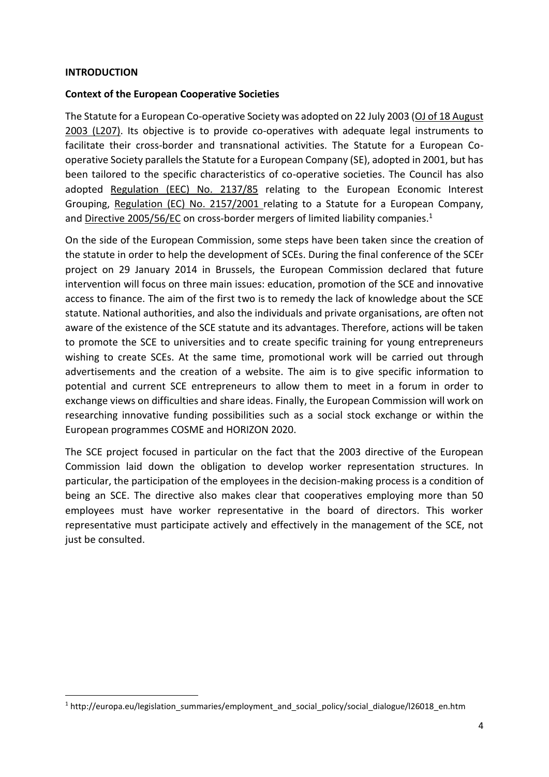#### **INTRODUCTION**

**.** 

#### <span id="page-3-0"></span>**Context of the European Cooperative Societies**

The Statute for a European Co-operative Society was adopted on 22 July 2003 [\(OJ of 18 August](http://eur-lex.europa.eu/LexUriServ/LexUriServ.do?uri=OJ:L:2003:207:0001:0024:EN:PDF)  [2003 \(L207\).](http://eur-lex.europa.eu/LexUriServ/LexUriServ.do?uri=OJ:L:2003:207:0001:0024:EN:PDF) Its objective is to provide co-operatives with adequate legal instruments to facilitate their cross-border and transnational activities. The Statute for a European Cooperative Society parallels the Statute for a European Company (SE), adopted in 2001, but has been tailored to the specific characteristics of co-operative societies. The Council has also adopted [Regulation \(EEC\) No.](http://europa.eu/legislation_summaries/internal_market/businesses/company_law/l26015_en.htm) 2137/85 relating to the European Economic Interest Grouping, [Regulation \(EC\) No.](http://europa.eu/legislation_summaries/employment_and_social_policy/social_dialogue/l26016_en.htm) 2157/2001 relating to a Statute for a European Company, and [Directive 2005/56/EC](http://europa.eu/legislation_summaries/internal_market/businesses/company_law/l26041_en.htm) on cross-border mergers of limited liability companies.<sup>1</sup>

On the side of the European Commission, some steps have been taken since the creation of the statute in order to help the development of SCEs. During the final conference of the SCEr project on 29 January 2014 in Brussels, the European Commission declared that future intervention will focus on three main issues: education, promotion of the SCE and innovative access to finance. The aim of the first two is to remedy the lack of knowledge about the SCE statute. National authorities, and also the individuals and private organisations, are often not aware of the existence of the SCE statute and its advantages. Therefore, actions will be taken to promote the SCE to universities and to create specific training for young entrepreneurs wishing to create SCEs. At the same time, promotional work will be carried out through advertisements and the creation of a website. The aim is to give specific information to potential and current SCE entrepreneurs to allow them to meet in a forum in order to exchange views on difficulties and share ideas. Finally, the European Commission will work on researching innovative funding possibilities such as a social stock exchange or within the European programmes COSME and HORIZON 2020.

The SCE project focused in particular on the fact that the 2003 directive of the European Commission laid down the obligation to develop worker representation structures. In particular, the participation of the employees in the decision-making process is a condition of being an SCE. The directive also makes clear that cooperatives employing more than 50 employees must have worker representative in the board of directors. This worker representative must participate actively and effectively in the management of the SCE, not just be consulted.

<sup>1</sup> http://europa.eu/legislation\_summaries/employment\_and\_social\_policy/social\_dialogue/l26018\_en.htm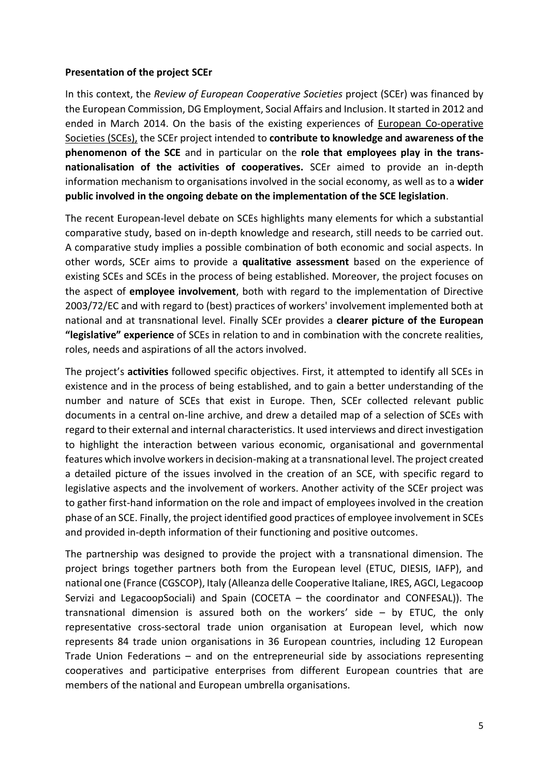#### <span id="page-4-0"></span>**Presentation of the project SCEr**

In this context, the *Review of European Cooperative Societies* project (SCEr) was financed by the European Commission, DG Employment, Social Affairs and Inclusion. It started in 2012 and ended in March 2014. On the basis of the existing experiences of [European Co-operative](http://www.scer.eu/)  [Societies \(SCEs\),](http://www.scer.eu/) the SCEr project intended to **contribute to knowledge and awareness of the phenomenon of the SCE** and in particular on the **role that employees play in the transnationalisation of the activities of cooperatives.** SCEr aimed to provide an in-depth information mechanism to organisations involved in the social economy, as well as to a **wider public involved in the ongoing debate on the implementation of the SCE legislation**.

The recent European-level debate on SCEs highlights many elements for which a substantial comparative study, based on in-depth knowledge and research, still needs to be carried out. A comparative study implies a possible combination of both economic and social aspects. In other words, SCEr aims to provide a **qualitative assessment** based on the experience of existing SCEs and SCEs in the process of being established. Moreover, the project focuses on the aspect of **employee involvement**, both with regard to the implementation of Directive 2003/72/EC and with regard to (best) practices of workers' involvement implemented both at national and at transnational level. Finally SCEr provides a **clearer picture of the European "legislative" experience** of SCEs in relation to and in combination with the concrete realities, roles, needs and aspirations of all the actors involved.

The project's **activities** followed specific objectives. First, it attempted to identify all SCEs in existence and in the process of being established, and to gain a better understanding of the number and nature of SCEs that exist in Europe. Then, SCEr collected relevant public documents in a central on-line archive, and drew a detailed map of a selection of SCEs with regard to their external and internal characteristics. It used interviews and direct investigation to highlight the interaction between various economic, organisational and governmental features which involve workers in decision-making at a transnational level. The project created a detailed picture of the issues involved in the creation of an SCE, with specific regard to legislative aspects and the involvement of workers. Another activity of the SCEr project was to gather first-hand information on the role and impact of employees involved in the creation phase of an SCE. Finally, the project identified good practices of employee involvement in SCEs and provided in-depth information of their functioning and positive outcomes.

The partnership was designed to provide the project with a transnational dimension. The project brings together partners both from the European level (ETUC, DIESIS, IAFP), and national one (France (CGSCOP), Italy (Alleanza delle Cooperative Italiane, IRES, AGCI, Legacoop Servizi and LegacoopSociali) and Spain (COCETA – the coordinator and CONFESAL)). The transnational dimension is assured both on the workers' side – by ETUC, the only representative cross-sectoral trade union organisation at European level, which now represents 84 trade union organisations in 36 European countries, including 12 European Trade Union Federations – and on the entrepreneurial side by associations representing cooperatives and participative enterprises from different European countries that are members of the national and European umbrella organisations.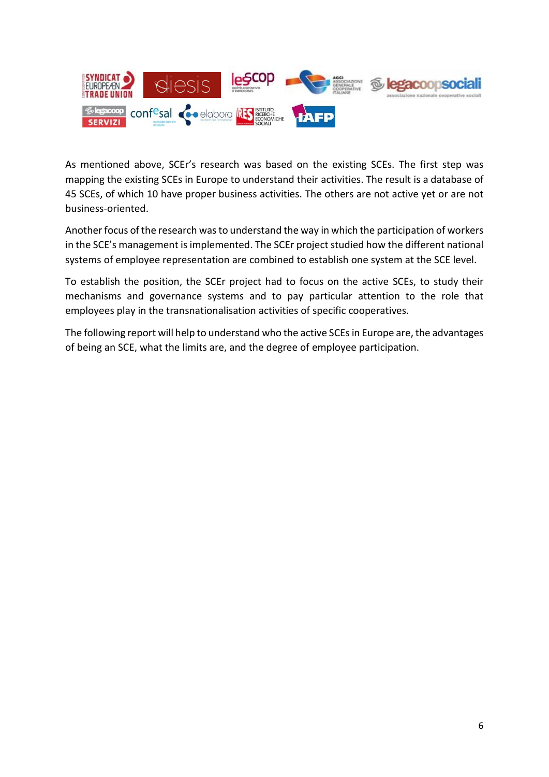

As mentioned above, SCEr's research was based on the existing SCEs. The first step was mapping the existing SCEs in Europe to understand their activities. The result is a database of 45 SCEs, of which 10 have proper business activities. The others are not active yet or are not business-oriented.

Another focus of the research was to understand the way in which the participation of workers in the SCE's management is implemented. The SCEr project studied how the different national systems of employee representation are combined to establish one system at the SCE level.

To establish the position, the SCEr project had to focus on the active SCEs, to study their mechanisms and governance systems and to pay particular attention to the role that employees play in the transnationalisation activities of specific cooperatives.

<span id="page-5-0"></span>The following report will help to understand who the active SCEs in Europe are, the advantages of being an SCE, what the limits are, and the degree of employee participation.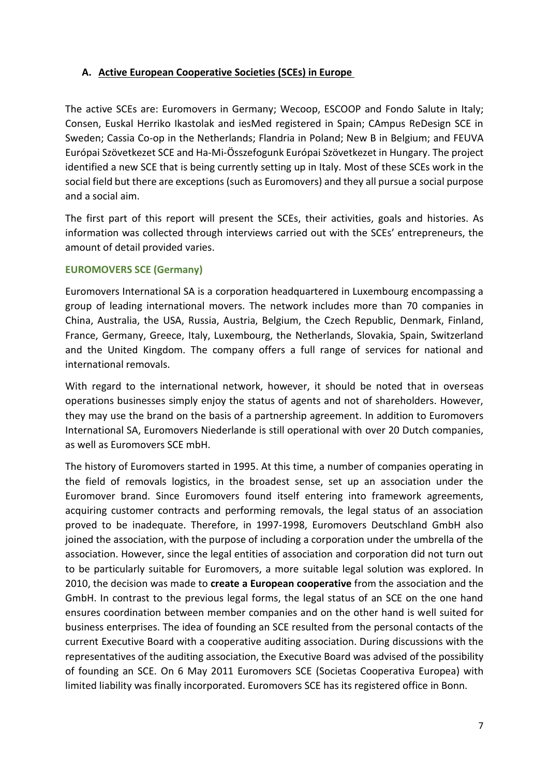## **A. Active European Cooperative Societies (SCEs) in Europe**

The active SCEs are: Euromovers in Germany; Wecoop, ESCOOP and Fondo Salute in Italy; Consen, Euskal Herriko Ikastolak and iesMed registered in Spain; CAmpus ReDesign SCE in Sweden; Cassia Co-op in the Netherlands; Flandria in Poland; New B in Belgium; and FEUVA Európai Szövetkezet SCE and Ha-Mi-Összefogunk Európai Szövetkezet in Hungary. The project identified a new SCE that is being currently setting up in Italy. Most of these SCEs work in the social field but there are exceptions (such as Euromovers) and they all pursue a social purpose and a social aim.

The first part of this report will present the SCEs, their activities, goals and histories. As information was collected through interviews carried out with the SCEs' entrepreneurs, the amount of detail provided varies.

#### **EUROMOVERS SCE (Germany)**

Euromovers International SA is a corporation headquartered in Luxembourg encompassing a group of leading international movers. The network includes more than 70 companies in China, Australia, the USA, Russia, Austria, Belgium, the Czech Republic, Denmark, Finland, France, Germany, Greece, Italy, Luxembourg, the Netherlands, Slovakia, Spain, Switzerland and the United Kingdom. The company offers a full range of services for national and international removals.

With regard to the international network, however, it should be noted that in overseas operations businesses simply enjoy the status of agents and not of shareholders. However, they may use the brand on the basis of a partnership agreement. In addition to Euromovers International SA, Euromovers Niederlande is still operational with over 20 Dutch companies, as well as Euromovers SCE mbH.

The history of Euromovers started in 1995. At this time, a number of companies operating in the field of removals logistics, in the broadest sense, set up an association under the Euromover brand. Since Euromovers found itself entering into framework agreements, acquiring customer contracts and performing removals, the legal status of an association proved to be inadequate. Therefore, in 1997-1998, Euromovers Deutschland GmbH also joined the association, with the purpose of including a corporation under the umbrella of the association. However, since the legal entities of association and corporation did not turn out to be particularly suitable for Euromovers, a more suitable legal solution was explored. In 2010, the decision was made to **create a European cooperative** from the association and the GmbH. In contrast to the previous legal forms, the legal status of an SCE on the one hand ensures coordination between member companies and on the other hand is well suited for business enterprises. The idea of founding an SCE resulted from the personal contacts of the current Executive Board with a cooperative auditing association. During discussions with the representatives of the auditing association, the Executive Board was advised of the possibility of founding an SCE. On 6 May 2011 Euromovers SCE (Societas Cooperativa Europea) with limited liability was finally incorporated. Euromovers SCE has its registered office in Bonn.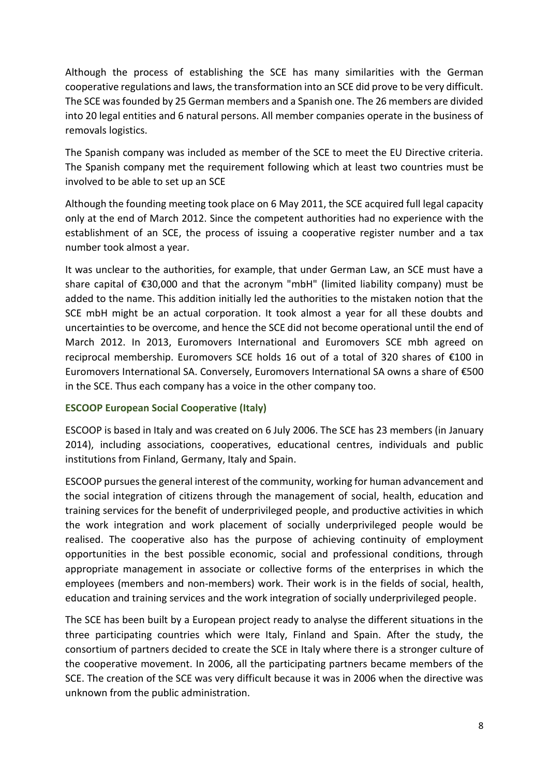Although the process of establishing the SCE has many similarities with the German cooperative regulations and laws, the transformation into an SCE did prove to be very difficult. The SCE was founded by 25 German members and a Spanish one. The 26 members are divided into 20 legal entities and 6 natural persons. All member companies operate in the business of removals logistics.

The Spanish company was included as member of the SCE to meet the EU Directive criteria. The Spanish company met the requirement following which at least two countries must be involved to be able to set up an SCE

Although the founding meeting took place on 6 May 2011, the SCE acquired full legal capacity only at the end of March 2012. Since the competent authorities had no experience with the establishment of an SCE, the process of issuing a cooperative register number and a tax number took almost a year.

It was unclear to the authorities, for example, that under German Law, an SCE must have a share capital of €30,000 and that the acronym "mbH" (limited liability company) must be added to the name. This addition initially led the authorities to the mistaken notion that the SCE mbH might be an actual corporation. It took almost a year for all these doubts and uncertainties to be overcome, and hence the SCE did not become operational until the end of March 2012. In 2013, Euromovers International and Euromovers SCE mbh agreed on reciprocal membership. Euromovers SCE holds 16 out of a total of 320 shares of €100 in Euromovers International SA. Conversely, Euromovers International SA owns a share of €500 in the SCE. Thus each company has a voice in the other company too.

#### **ESCOOP European Social Cooperative (Italy)**

ESCOOP is based in Italy and was created on 6 July 2006. The SCE has 23 members (in January 2014), including associations, cooperatives, educational centres, individuals and public institutions from Finland, Germany, Italy and Spain.

ESCOOP pursuesthe general interest of the community, working for human advancement and the social integration of citizens through the management of social, health, education and training services for the benefit of underprivileged people, and productive activities in which the work integration and work placement of socially underprivileged people would be realised. The cooperative also has the purpose of achieving continuity of employment opportunities in the best possible economic, social and professional conditions, through appropriate management in associate or collective forms of the enterprises in which the employees (members and non-members) work. Their work is in the fields of social, health, education and training services and the work integration of socially underprivileged people.

The SCE has been built by a European project ready to analyse the different situations in the three participating countries which were Italy, Finland and Spain. After the study, the consortium of partners decided to create the SCE in Italy where there is a stronger culture of the cooperative movement. In 2006, all the participating partners became members of the SCE. The creation of the SCE was very difficult because it was in 2006 when the directive was unknown from the public administration.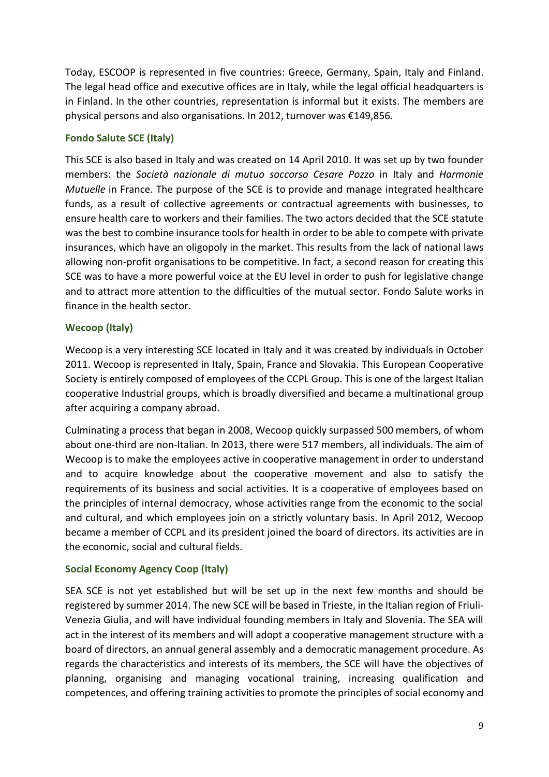Today, ESCOOP is represented in five countries: Greece, Germany, Spain, Italy and Finland. The legal head office and executive offices are in Italy, while the legal official headquarters is in Finland. In the other countries, representation is informal but it exists. The members are physical persons and also organisations. In 2012, turnover was €149,856.

## **Fondo Salute SCE (Italy)**

This SCE is also based in Italy and was created on 14 April 2010. It was set up by two founder members: the *Società nazionale di mutuo soccorso Cesare Pozzo* in Italy and *Harmonie Mutuelle* in France. The purpose of the SCE is to provide and manage integrated healthcare funds, as a result of collective agreements or contractual agreements with businesses, to ensure health care to workers and their families. The two actors decided that the SCE statute was the best to combine insurance tools for health in order to be able to compete with private insurances, which have an oligopoly in the market. This results from the lack of national laws allowing non-profit organisations to be competitive. In fact, a second reason for creating this SCE was to have a more powerful voice at the EU level in order to push for legislative change and to attract more attention to the difficulties of the mutual sector. Fondo Salute works in finance in the health sector.

## **Wecoop (Italy)**

Wecoop is a very interesting SCE located in Italy and it was created by individuals in October 2011. Wecoop is represented in Italy, Spain, France and Slovakia. This European Cooperative Society is entirely composed of employees of the CCPL Group. This is one of the largest Italian cooperative Industrial groups, which is broadly diversified and became a multinational group after acquiring a company abroad.

Culminating a process that began in 2008, Wecoop quickly surpassed 500 members, of whom about one-third are non-Italian. In 2013, there were 517 members, all individuals. The aim of Wecoop is to make the employees active in cooperative management in order to understand and to acquire knowledge about the cooperative movement and also to satisfy the requirements of its business and social activities. It is a cooperative of employees based on the principles of internal democracy, whose activities range from the economic to the social and cultural, and which employees join on a strictly voluntary basis. In April 2012, Wecoop became a member of CCPL and its president joined the board of directors. its activities are in the economic, social and cultural fields.

#### **Social Economy Agency Coop (Italy)**

SEA SCE is not yet established but will be set up in the next few months and should be registered by summer 2014. The new SCE will be based in Trieste, in the Italian region of Friuli-Venezia Giulia, and will have individual founding members in Italy and Slovenia. The SEA will act in the interest of its members and will adopt a cooperative management structure with a board of directors, an annual general assembly and a democratic management procedure. As regards the characteristics and interests of its members, the SCE will have the objectives of planning, organising and managing vocational training, increasing qualification and competences, and offering training activities to promote the principles of social economy and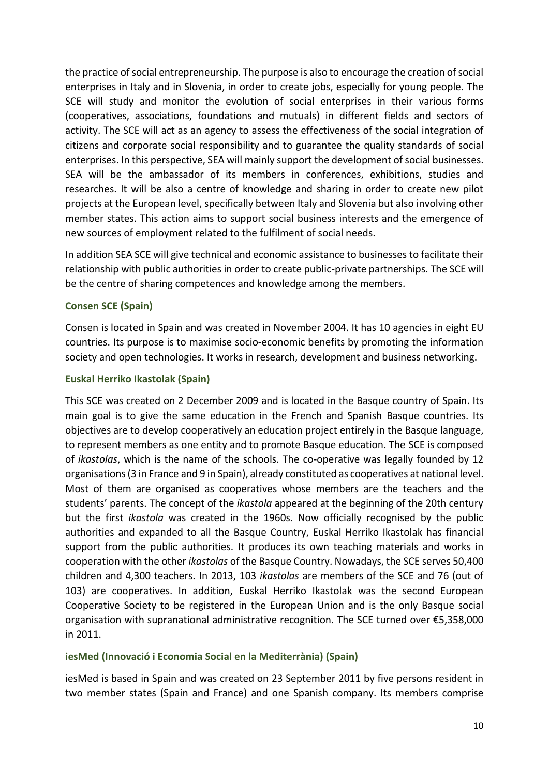the practice of social entrepreneurship. The purpose is also to encourage the creation of social enterprises in Italy and in Slovenia, in order to create jobs, especially for young people. The SCE will study and monitor the evolution of social enterprises in their various forms (cooperatives, associations, foundations and mutuals) in different fields and sectors of activity. The SCE will act as an agency to assess the effectiveness of the social integration of citizens and corporate social responsibility and to guarantee the quality standards of social enterprises. In this perspective, SEA will mainly support the development of social businesses. SEA will be the ambassador of its members in conferences, exhibitions, studies and researches. It will be also a centre of knowledge and sharing in order to create new pilot projects at the European level, specifically between Italy and Slovenia but also involving other member states. This action aims to support social business interests and the emergence of new sources of employment related to the fulfilment of social needs.

In addition SEA SCE will give technical and economic assistance to businesses to facilitate their relationship with public authorities in order to create public-private partnerships. The SCE will be the centre of sharing competences and knowledge among the members.

## **Consen SCE (Spain)**

Consen is located in Spain and was created in November 2004. It has 10 agencies in eight EU countries. Its purpose is to maximise socio-economic benefits by promoting the information society and open technologies. It works in research, development and business networking.

#### **Euskal Herriko Ikastolak (Spain)**

This SCE was created on 2 December 2009 and is located in the Basque country of Spain. Its main goal is to give the same education in the French and Spanish Basque countries. Its objectives are to develop cooperatively an education project entirely in the Basque language, to represent members as one entity and to promote Basque education. The SCE is composed of *ikastolas*, which is the name of the schools. The co-operative was legally founded by 12 organisations (3 in France and 9 in Spain), already constituted as cooperatives at national level. Most of them are organised as cooperatives whose members are the teachers and the students' parents. The concept of the *ikastola* appeared at the beginning of the 20th century but the first *ikastola* was created in the 1960s. Now officially recognised by the public authorities and expanded to all the Basque Country, Euskal Herriko Ikastolak has financial support from the public authorities. It produces its own teaching materials and works in cooperation with the other *ikastolas* of the Basque Country. Nowadays, the SCE serves 50,400 children and 4,300 teachers. In 2013, 103 *ikastolas* are members of the SCE and 76 (out of 103) are cooperatives. In addition, Euskal Herriko Ikastolak was the second European Cooperative Society to be registered in the European Union and is the only Basque social organisation with supranational administrative recognition. The SCE turned over €5,358,000 in 2011.

#### **iesMed (Innovació i Economia Social en la Mediterrània) (Spain)**

iesMed is based in Spain and was created on 23 September 2011 by five persons resident in two member states (Spain and France) and one Spanish company. Its members comprise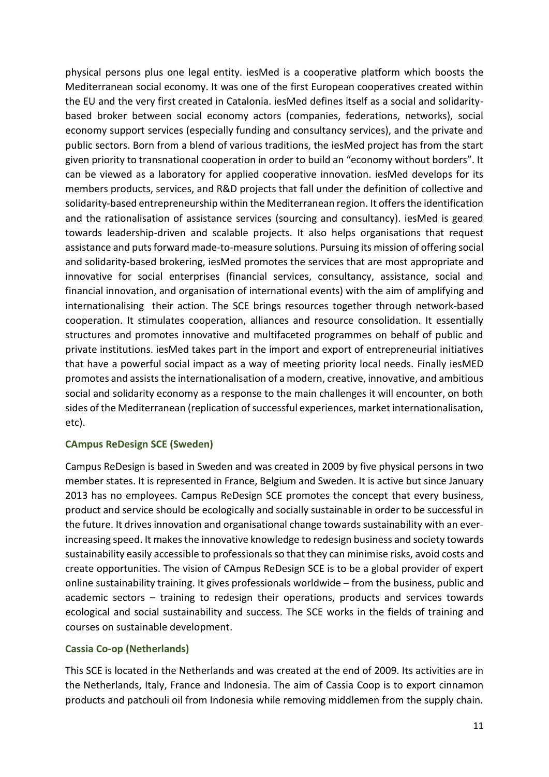physical persons plus one legal entity. iesMed is a cooperative platform which boosts the Mediterranean social economy. It was one of the first European cooperatives created within the EU and the very first created in Catalonia. iesMed defines itself as a social and solidaritybased broker between social economy actors (companies, federations, networks), social economy support services (especially funding and consultancy services), and the private and public sectors. Born from a blend of various traditions, the iesMed project has from the start given priority to transnational cooperation in order to build an "economy without borders". It can be viewed as a laboratory for applied cooperative innovation. iesMed develops for its members products, services, and R&D projects that fall under the definition of collective and solidarity-based entrepreneurship within the Mediterranean region. It offers the identification and the rationalisation of assistance services (sourcing and consultancy). iesMed is geared towards leadership-driven and scalable projects. It also helps organisations that request assistance and puts forward made-to-measure solutions. Pursuing its mission of offering social and solidarity-based brokering, iesMed promotes the services that are most appropriate and innovative for social enterprises (financial services, consultancy, assistance, social and financial innovation, and organisation of international events) with the aim of amplifying and internationalising their action. The SCE brings resources together through network-based cooperation. It stimulates cooperation, alliances and resource consolidation. It essentially structures and promotes innovative and multifaceted programmes on behalf of public and private institutions. iesMed takes part in the import and export of entrepreneurial initiatives that have a powerful social impact as a way of meeting priority local needs. Finally iesMED promotes and assiststhe internationalisation of a modern, creative, innovative, and ambitious social and solidarity economy as a response to the main challenges it will encounter, on both sides of the Mediterranean (replication of successful experiences, market internationalisation, etc).

#### **CAmpus ReDesign SCE (Sweden)**

Campus ReDesign is based in Sweden and was created in 2009 by five physical persons in two member states. It is represented in France, Belgium and Sweden. It is active but since January 2013 has no employees. Campus ReDesign SCE promotes the concept that every business, product and service should be ecologically and socially sustainable in order to be successful in the future. It drives innovation and organisational change towards sustainability with an everincreasing speed. It makes the innovative knowledge to redesign business and society towards sustainability easily accessible to professionals so that they can minimise risks, avoid costs and create opportunities. The vision of CAmpus ReDesign SCE is to be a global provider of expert online sustainability training. It gives professionals worldwide – from the business, public and academic sectors – training to redesign their operations, products and services towards ecological and social sustainability and success. The SCE works in the fields of training and courses on sustainable development.

#### **Cassia Co-op (Netherlands)**

This SCE is located in the Netherlands and was created at the end of 2009. Its activities are in the Netherlands, Italy, France and Indonesia. The aim of Cassia Coop is to export cinnamon products and patchouli oil from Indonesia while removing middlemen from the supply chain.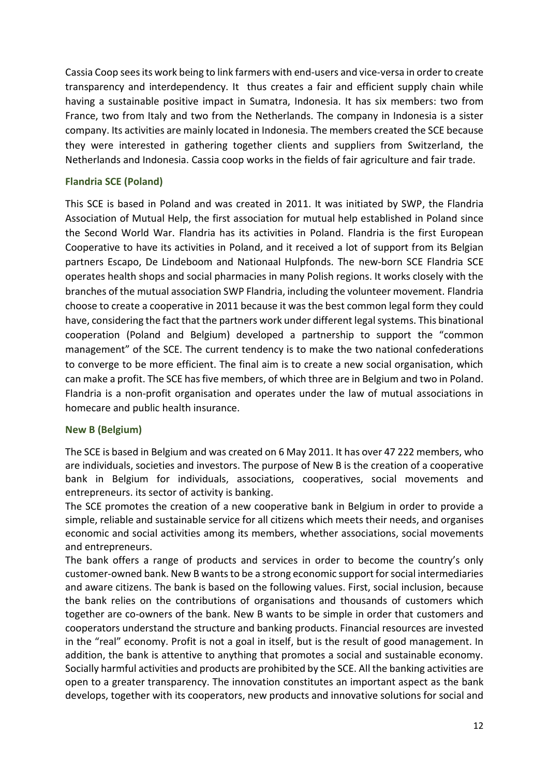Cassia Coop seesits work being to link farmers with end-users and vice-versa in order to create transparency and interdependency. It thus creates a fair and efficient supply chain while having a sustainable positive impact in Sumatra, Indonesia. It has six members: two from France, two from Italy and two from the Netherlands. The company in Indonesia is a sister company. Its activities are mainly located in Indonesia. The members created the SCE because they were interested in gathering together clients and suppliers from Switzerland, the Netherlands and Indonesia. Cassia coop works in the fields of fair agriculture and fair trade.

## **Flandria SCE (Poland)**

This SCE is based in Poland and was created in 2011. It was initiated by SWP, the Flandria Association of Mutual Help, the first association for mutual help established in Poland since the Second World War. Flandria has its activities in Poland. Flandria is the first European Cooperative to have its activities in Poland, and it received a lot of support from its Belgian partners Escapo, De Lindeboom and Nationaal Hulpfonds. The new-born SCE Flandria SCE operates health shops and social pharmacies in many Polish regions. It works closely with the branches of the mutual association SWP Flandria, including the volunteer movement. Flandria choose to create a cooperative in 2011 because it was the best common legal form they could have, considering the fact that the partners work under different legal systems. This binational cooperation (Poland and Belgium) developed a partnership to support the "common management" of the SCE. The current tendency is to make the two national confederations to converge to be more efficient. The final aim is to create a new social organisation, which can make a profit. The SCE has five members, of which three are in Belgium and two in Poland. Flandria is a non-profit organisation and operates under the law of mutual associations in homecare and public health insurance.

## **New B (Belgium)**

The SCE is based in Belgium and was created on 6 May 2011. It has over 47 222 members, who are individuals, societies and investors. The purpose of New B is the creation of a cooperative bank in Belgium for individuals, associations, cooperatives, social movements and entrepreneurs. its sector of activity is banking.

The SCE promotes the creation of a new cooperative bank in Belgium in order to provide a simple, reliable and sustainable service for all citizens which meets their needs, and organises economic and social activities among its members, whether associations, social movements and entrepreneurs.

The bank offers a range of products and services in order to become the country's only customer-owned bank. New B wants to be a strong economic support for social intermediaries and aware citizens. The bank is based on the following values. First, social inclusion, because the bank relies on the contributions of organisations and thousands of customers which together are co-owners of the bank. New B wants to be simple in order that customers and cooperators understand the structure and banking products. Financial resources are invested in the "real" economy. Profit is not a goal in itself, but is the result of good management. In addition, the bank is attentive to anything that promotes a social and sustainable economy. Socially harmful activities and products are prohibited by the SCE. All the banking activities are open to a greater transparency. The innovation constitutes an important aspect as the bank develops, together with its cooperators, new products and innovative solutions for social and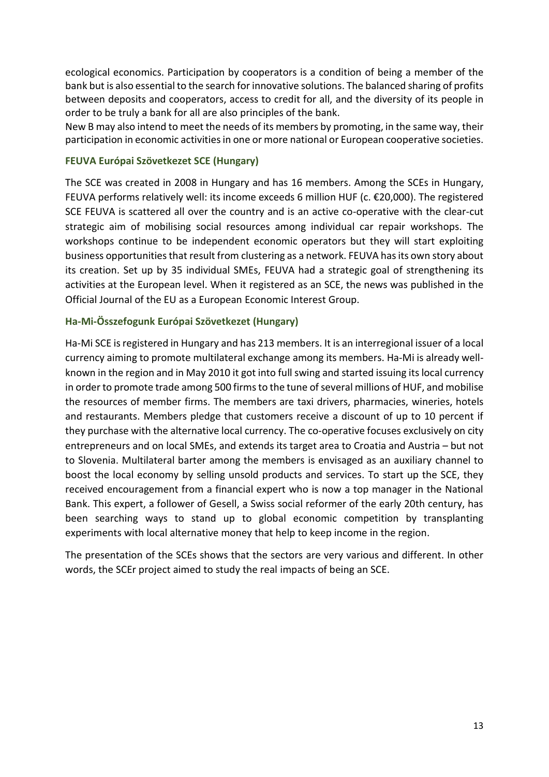ecological economics. Participation by cooperators is a condition of being a member of the bank but is also essential to the search for innovative solutions. The balanced sharing of profits between deposits and cooperators, access to credit for all, and the diversity of its people in order to be truly a bank for all are also principles of the bank.

New B may also intend to meet the needs of its members by promoting, in the same way, their participation in economic activities in one or more national or European cooperative societies.

#### **FEUVA Európai Szövetkezet SCE (Hungary)**

The SCE was created in 2008 in Hungary and has 16 members. Among the SCEs in Hungary, FEUVA performs relatively well: its income exceeds 6 million HUF (c. €20,000). The registered SCE FEUVA is scattered all over the country and is an active co-operative with the clear-cut strategic aim of mobilising social resources among individual car repair workshops. The workshops continue to be independent economic operators but they will start exploiting business opportunities that result from clustering as a network. FEUVA has its own story about its creation. Set up by 35 individual SMEs, FEUVA had a strategic goal of strengthening its activities at the European level. When it registered as an SCE, the news was published in the Official Journal of the EU as a European Economic Interest Group.

#### **Ha-Mi-Összefogunk Európai Szövetkezet (Hungary)**

Ha-Mi SCE is registered in Hungary and has 213 members. It is an interregional issuer of a local currency aiming to promote multilateral exchange among its members. Ha-Mi is already wellknown in the region and in May 2010 it got into full swing and started issuing its local currency in order to promote trade among 500 firms to the tune of several millions of HUF, and mobilise the resources of member firms. The members are taxi drivers, pharmacies, wineries, hotels and restaurants. Members pledge that customers receive a discount of up to 10 percent if they purchase with the alternative local currency. The co-operative focuses exclusively on city entrepreneurs and on local SMEs, and extends its target area to Croatia and Austria – but not to Slovenia. Multilateral barter among the members is envisaged as an auxiliary channel to boost the local economy by selling unsold products and services. To start up the SCE, they received encouragement from a financial expert who is now a top manager in the National Bank. This expert, a follower of Gesell, a Swiss social reformer of the early 20th century, has been searching ways to stand up to global economic competition by transplanting experiments with local alternative money that help to keep income in the region.

The presentation of the SCEs shows that the sectors are very various and different. In other words, the SCEr project aimed to study the real impacts of being an SCE.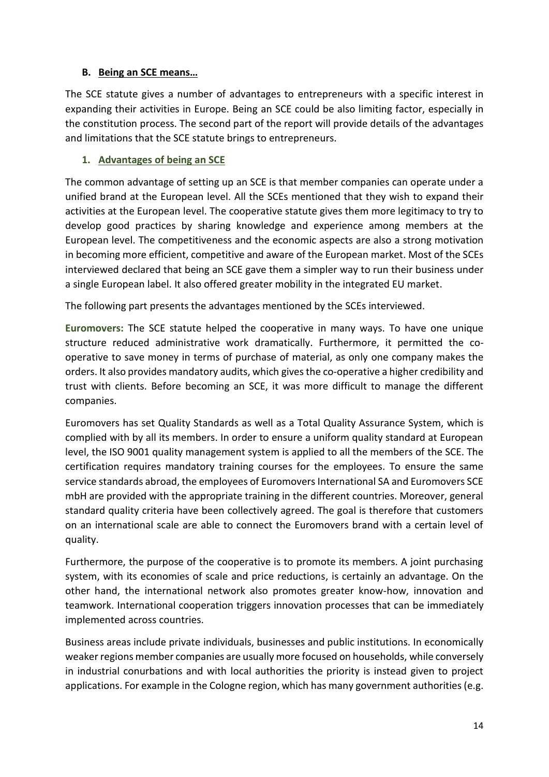## <span id="page-13-0"></span>**B. Being an SCE means…**

The SCE statute gives a number of advantages to entrepreneurs with a specific interest in expanding their activities in Europe. Being an SCE could be also limiting factor, especially in the constitution process. The second part of the report will provide details of the advantages and limitations that the SCE statute brings to entrepreneurs.

## <span id="page-13-1"></span>**1. Advantages of being an SCE**

The common advantage of setting up an SCE is that member companies can operate under a unified brand at the European level. All the SCEs mentioned that they wish to expand their activities at the European level. The cooperative statute gives them more legitimacy to try to develop good practices by sharing knowledge and experience among members at the European level. The competitiveness and the economic aspects are also a strong motivation in becoming more efficient, competitive and aware of the European market. Most of the SCEs interviewed declared that being an SCE gave them a simpler way to run their business under a single European label. It also offered greater mobility in the integrated EU market.

The following part presents the advantages mentioned by the SCEs interviewed.

**Euromovers:** The SCE statute helped the cooperative in many ways. To have one unique structure reduced administrative work dramatically. Furthermore, it permitted the cooperative to save money in terms of purchase of material, as only one company makes the orders. It also provides mandatory audits, which gives the co-operative a higher credibility and trust with clients. Before becoming an SCE, it was more difficult to manage the different companies.

Euromovers has set Quality Standards as well as a Total Quality Assurance System, which is complied with by all its members. In order to ensure a uniform quality standard at European level, the ISO 9001 quality management system is applied to all the members of the SCE. The certification requires mandatory training courses for the employees. To ensure the same service standards abroad, the employees of Euromovers International SA and Euromovers SCE mbH are provided with the appropriate training in the different countries. Moreover, general standard quality criteria have been collectively agreed. The goal is therefore that customers on an international scale are able to connect the Euromovers brand with a certain level of quality.

Furthermore, the purpose of the cooperative is to promote its members. A joint purchasing system, with its economies of scale and price reductions, is certainly an advantage. On the other hand, the international network also promotes greater know-how, innovation and teamwork. International cooperation triggers innovation processes that can be immediately implemented across countries.

Business areas include private individuals, businesses and public institutions. In economically weaker regions member companies are usually more focused on households, while conversely in industrial conurbations and with local authorities the priority is instead given to project applications. For example in the Cologne region, which has many government authorities (e.g.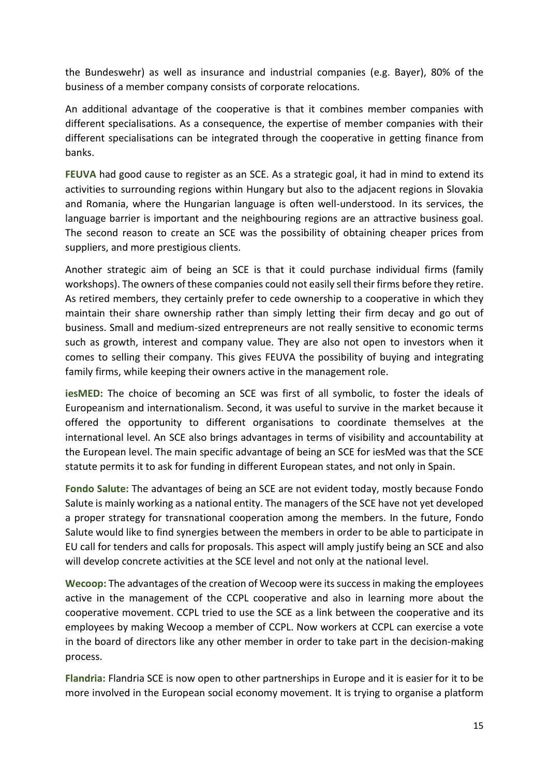the Bundeswehr) as well as insurance and industrial companies (e.g. Bayer), 80% of the business of a member company consists of corporate relocations.

An additional advantage of the cooperative is that it combines member companies with different specialisations. As a consequence, the expertise of member companies with their different specialisations can be integrated through the cooperative in getting finance from banks.

**FEUVA** had good cause to register as an SCE. As a strategic goal, it had in mind to extend its activities to surrounding regions within Hungary but also to the adjacent regions in Slovakia and Romania, where the Hungarian language is often well-understood. In its services, the language barrier is important and the neighbouring regions are an attractive business goal. The second reason to create an SCE was the possibility of obtaining cheaper prices from suppliers, and more prestigious clients.

Another strategic aim of being an SCE is that it could purchase individual firms (family workshops). The owners of these companies could not easily sell their firms before they retire. As retired members, they certainly prefer to cede ownership to a cooperative in which they maintain their share ownership rather than simply letting their firm decay and go out of business. Small and medium-sized entrepreneurs are not really sensitive to economic terms such as growth, interest and company value. They are also not open to investors when it comes to selling their company. This gives FEUVA the possibility of buying and integrating family firms, while keeping their owners active in the management role.

**iesMED:** The choice of becoming an SCE was first of all symbolic, to foster the ideals of Europeanism and internationalism. Second, it was useful to survive in the market because it offered the opportunity to different organisations to coordinate themselves at the international level. An SCE also brings advantages in terms of visibility and accountability at the European level. The main specific advantage of being an SCE for iesMed was that the SCE statute permits it to ask for funding in different European states, and not only in Spain.

**Fondo Salute:** The advantages of being an SCE are not evident today, mostly because Fondo Salute is mainly working as a national entity. The managers of the SCE have not yet developed a proper strategy for transnational cooperation among the members. In the future, Fondo Salute would like to find synergies between the members in order to be able to participate in EU call for tenders and calls for proposals. This aspect will amply justify being an SCE and also will develop concrete activities at the SCE level and not only at the national level.

Wecoop: The advantages of the creation of Wecoop were its success in making the employees active in the management of the CCPL cooperative and also in learning more about the cooperative movement. CCPL tried to use the SCE as a link between the cooperative and its employees by making Wecoop a member of CCPL. Now workers at CCPL can exercise a vote in the board of directors like any other member in order to take part in the decision-making process.

**Flandria:** Flandria SCE is now open to other partnerships in Europe and it is easier for it to be more involved in the European social economy movement. It is trying to organise a platform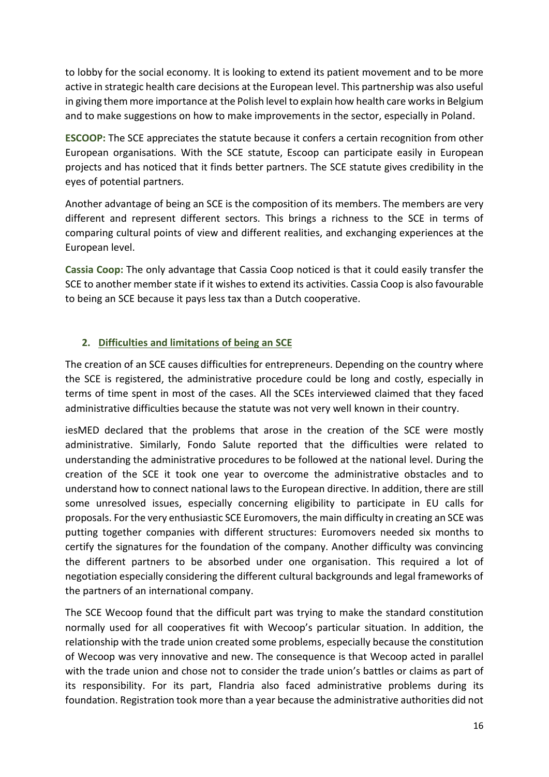to lobby for the social economy. It is looking to extend its patient movement and to be more active in strategic health care decisions at the European level. This partnership was also useful in giving them more importance at the Polish level to explain how health care works in Belgium and to make suggestions on how to make improvements in the sector, especially in Poland.

**ESCOOP:** The SCE appreciates the statute because it confers a certain recognition from other European organisations. With the SCE statute, Escoop can participate easily in European projects and has noticed that it finds better partners. The SCE statute gives credibility in the eyes of potential partners.

Another advantage of being an SCE is the composition of its members. The members are very different and represent different sectors. This brings a richness to the SCE in terms of comparing cultural points of view and different realities, and exchanging experiences at the European level.

**Cassia Coop:** The only advantage that Cassia Coop noticed is that it could easily transfer the SCE to another member state if it wishes to extend its activities. Cassia Coop is also favourable to being an SCE because it pays less tax than a Dutch cooperative.

## <span id="page-15-0"></span>**2. Difficulties and limitations of being an SCE**

The creation of an SCE causes difficulties for entrepreneurs. Depending on the country where the SCE is registered, the administrative procedure could be long and costly, especially in terms of time spent in most of the cases. All the SCEs interviewed claimed that they faced administrative difficulties because the statute was not very well known in their country.

iesMED declared that the problems that arose in the creation of the SCE were mostly administrative. Similarly, Fondo Salute reported that the difficulties were related to understanding the administrative procedures to be followed at the national level. During the creation of the SCE it took one year to overcome the administrative obstacles and to understand how to connect national laws to the European directive. In addition, there are still some unresolved issues, especially concerning eligibility to participate in EU calls for proposals. For the very enthusiastic SCE Euromovers, the main difficulty in creating an SCE was putting together companies with different structures: Euromovers needed six months to certify the signatures for the foundation of the company. Another difficulty was convincing the different partners to be absorbed under one organisation. This required a lot of negotiation especially considering the different cultural backgrounds and legal frameworks of the partners of an international company.

The SCE Wecoop found that the difficult part was trying to make the standard constitution normally used for all cooperatives fit with Wecoop's particular situation. In addition, the relationship with the trade union created some problems, especially because the constitution of Wecoop was very innovative and new. The consequence is that Wecoop acted in parallel with the trade union and chose not to consider the trade union's battles or claims as part of its responsibility. For its part, Flandria also faced administrative problems during its foundation. Registration took more than a year because the administrative authorities did not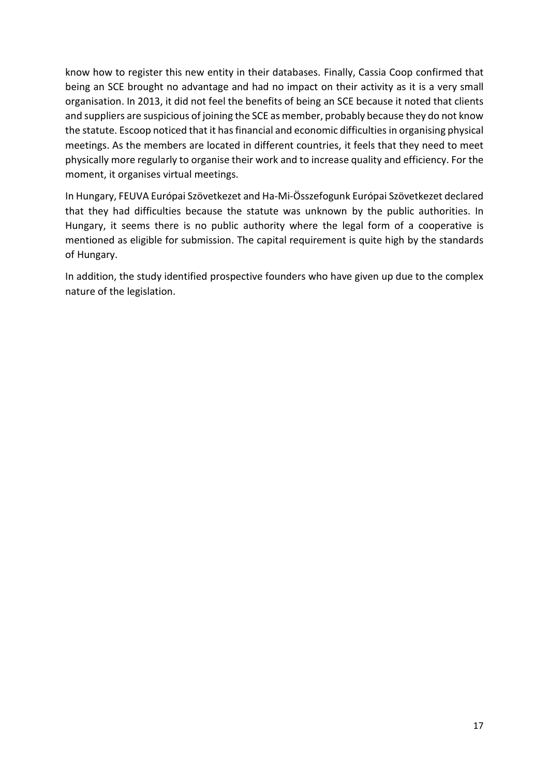know how to register this new entity in their databases. Finally, Cassia Coop confirmed that being an SCE brought no advantage and had no impact on their activity as it is a very small organisation. In 2013, it did not feel the benefits of being an SCE because it noted that clients and suppliers are suspicious of joining the SCE as member, probably because they do not know the statute. Escoop noticed that it has financial and economic difficulties in organising physical meetings. As the members are located in different countries, it feels that they need to meet physically more regularly to organise their work and to increase quality and efficiency. For the moment, it organises virtual meetings.

In Hungary, FEUVA Európai Szövetkezet and Ha-Mi-Összefogunk Európai Szövetkezet declared that they had difficulties because the statute was unknown by the public authorities. In Hungary, it seems there is no public authority where the legal form of a cooperative is mentioned as eligible for submission. The capital requirement is quite high by the standards of Hungary.

In addition, the study identified prospective founders who have given up due to the complex nature of the legislation.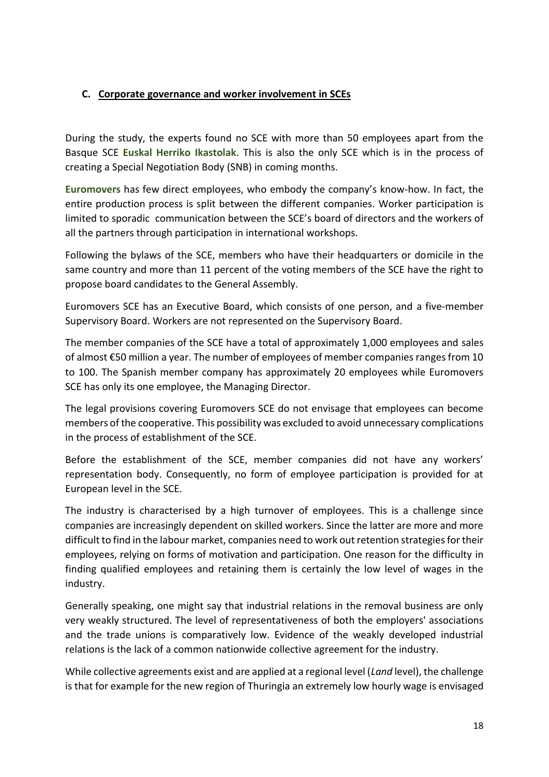## <span id="page-17-0"></span>**C. Corporate governance and worker involvement in SCEs**

During the study, the experts found no SCE with more than 50 employees apart from the Basque SCE **Euskal Herriko Ikastolak**. This is also the only SCE which is in the process of creating a Special Negotiation Body (SNB) in coming months.

**Euromovers** has few direct employees, who embody the company's know-how. In fact, the entire production process is split between the different companies. Worker participation is limited to sporadic communication between the SCE's board of directors and the workers of all the partners through participation in international workshops.

Following the bylaws of the SCE, members who have their headquarters or domicile in the same country and more than 11 percent of the voting members of the SCE have the right to propose board candidates to the General Assembly.

Euromovers SCE has an Executive Board, which consists of one person, and a five-member Supervisory Board. Workers are not represented on the Supervisory Board.

The member companies of the SCE have a total of approximately 1,000 employees and sales of almost €50 million a year. The number of employees of member companies ranges from 10 to 100. The Spanish member company has approximately 20 employees while Euromovers SCE has only its one employee, the Managing Director.

The legal provisions covering Euromovers SCE do not envisage that employees can become members of the cooperative. This possibility was excluded to avoid unnecessary complications in the process of establishment of the SCE.

Before the establishment of the SCE, member companies did not have any workers' representation body. Consequently, no form of employee participation is provided for at European level in the SCE.

The industry is characterised by a high turnover of employees. This is a challenge since companies are increasingly dependent on skilled workers. Since the latter are more and more difficult to find in the labour market, companies need to work out retention strategies for their employees, relying on forms of motivation and participation. One reason for the difficulty in finding qualified employees and retaining them is certainly the low level of wages in the industry.

Generally speaking, one might say that industrial relations in the removal business are only very weakly structured. The level of representativeness of both the employers' associations and the trade unions is comparatively low. Evidence of the weakly developed industrial relations is the lack of a common nationwide collective agreement for the industry.

While collective agreements exist and are applied at a regional level (*Land* level), the challenge is that for example for the new region of Thuringia an extremely low hourly wage is envisaged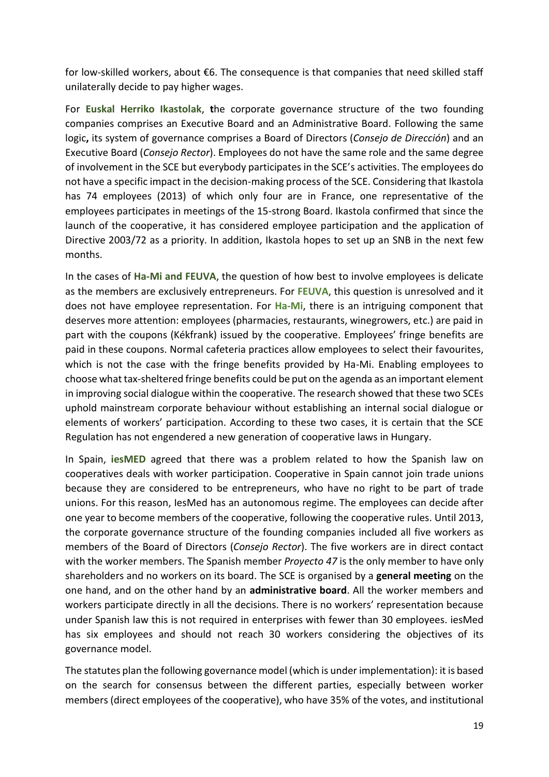for low-skilled workers, about €6. The consequence is that companies that need skilled staff unilaterally decide to pay higher wages.

For **Euskal Herriko Ikastolak**, **t**he corporate governance structure of the two founding companies comprises an Executive Board and an Administrative Board. Following the same logic**,** its system of governance comprises a Board of Directors (*Consejo de Dirección*) and an Executive Board (*Consejo Rector*). Employees do not have the same role and the same degree of involvement in the SCE but everybody participates in the SCE's activities. The employees do not have a specific impact in the decision-making process of the SCE. Considering that Ikastola has 74 employees (2013) of which only four are in France, one representative of the employees participates in meetings of the 15-strong Board. Ikastola confirmed that since the launch of the cooperative, it has considered employee participation and the application of Directive 2003/72 as a priority. In addition, Ikastola hopes to set up an SNB in the next few months.

In the cases of **Ha-Mi and FEUVA**, the question of how best to involve employees is delicate as the members are exclusively entrepreneurs. For **FEUVA**, this question is unresolved and it does not have employee representation. For **Ha-Mi**, there is an intriguing component that deserves more attention: employees (pharmacies, restaurants, winegrowers, etc.) are paid in part with the coupons (Kékfrank) issued by the cooperative. Employees' fringe benefits are paid in these coupons. Normal cafeteria practices allow employees to select their favourites, which is not the case with the fringe benefits provided by Ha-Mi. Enabling employees to choose what tax-sheltered fringe benefits could be put on the agenda as an important element in improving social dialogue within the cooperative. The research showed that these two SCEs uphold mainstream corporate behaviour without establishing an internal social dialogue or elements of workers' participation. According to these two cases, it is certain that the SCE Regulation has not engendered a new generation of cooperative laws in Hungary.

In Spain, **iesMED** agreed that there was a problem related to how the Spanish law on cooperatives deals with worker participation. Cooperative in Spain cannot join trade unions because they are considered to be entrepreneurs, who have no right to be part of trade unions. For this reason, IesMed has an autonomous regime. The employees can decide after one year to become members of the cooperative, following the cooperative rules. Until 2013, the corporate governance structure of the founding companies included all five workers as members of the Board of Directors (*Consejo Rector*). The five workers are in direct contact with the worker members. The Spanish member *Proyecto 47* is the only member to have only shareholders and no workers on its board. The SCE is organised by a **general meeting** on the one hand, and on the other hand by an **administrative board**. All the worker members and workers participate directly in all the decisions. There is no workers' representation because under Spanish law this is not required in enterprises with fewer than 30 employees. iesMed has six employees and should not reach 30 workers considering the objectives of its governance model.

The statutes plan the following governance model (which is under implementation): it is based on the search for consensus between the different parties, especially between worker members (direct employees of the cooperative), who have 35% of the votes, and institutional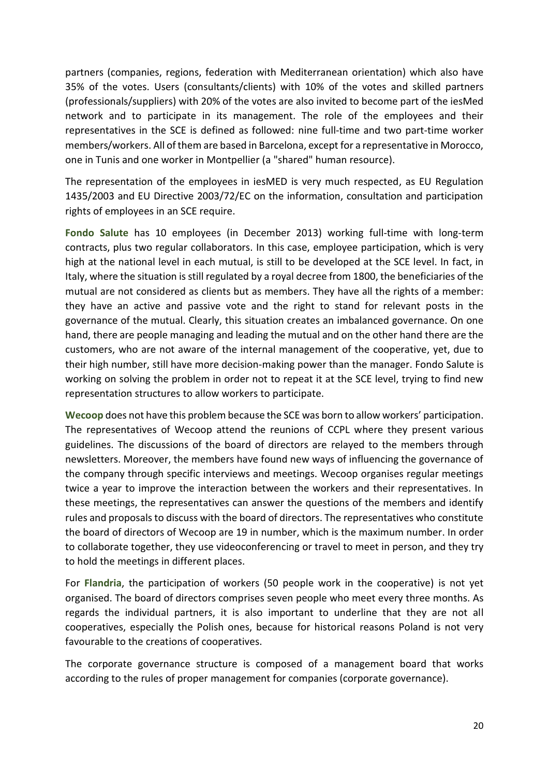partners (companies, regions, federation with Mediterranean orientation) which also have 35% of the votes. Users (consultants/clients) with 10% of the votes and skilled partners (professionals/suppliers) with 20% of the votes are also invited to become part of the iesMed network and to participate in its management. The role of the employees and their representatives in the SCE is defined as followed: nine full-time and two part-time worker members/workers. All of them are based in Barcelona, except for a representative in Morocco, one in Tunis and one worker in Montpellier (a "shared" human resource).

The representation of the employees in iesMED is very much respected, as EU Regulation 1435/2003 and EU Directive 2003/72/EC on the information, consultation and participation rights of employees in an SCE require.

**Fondo Salute** has 10 employees (in December 2013) working full-time with long-term contracts, plus two regular collaborators. In this case, employee participation, which is very high at the national level in each mutual, is still to be developed at the SCE level. In fact, in Italy, where the situation is still regulated by a royal decree from 1800, the beneficiaries of the mutual are not considered as clients but as members. They have all the rights of a member: they have an active and passive vote and the right to stand for relevant posts in the governance of the mutual. Clearly, this situation creates an imbalanced governance. On one hand, there are people managing and leading the mutual and on the other hand there are the customers, who are not aware of the internal management of the cooperative, yet, due to their high number, still have more decision-making power than the manager. Fondo Salute is working on solving the problem in order not to repeat it at the SCE level, trying to find new representation structures to allow workers to participate.

**Wecoop** does not have this problem because the SCE was born to allow workers' participation. The representatives of Wecoop attend the reunions of CCPL where they present various guidelines. The discussions of the board of directors are relayed to the members through newsletters. Moreover, the members have found new ways of influencing the governance of the company through specific interviews and meetings. Wecoop organises regular meetings twice a year to improve the interaction between the workers and their representatives. In these meetings, the representatives can answer the questions of the members and identify rules and proposals to discuss with the board of directors. The representatives who constitute the board of directors of Wecoop are 19 in number, which is the maximum number. In order to collaborate together, they use videoconferencing or travel to meet in person, and they try to hold the meetings in different places.

For **Flandria**, the participation of workers (50 people work in the cooperative) is not yet organised. The board of directors comprises seven people who meet every three months. As regards the individual partners, it is also important to underline that they are not all cooperatives, especially the Polish ones, because for historical reasons Poland is not very favourable to the creations of cooperatives.

The corporate governance structure is composed of a management board that works according to the rules of proper management for companies (corporate governance).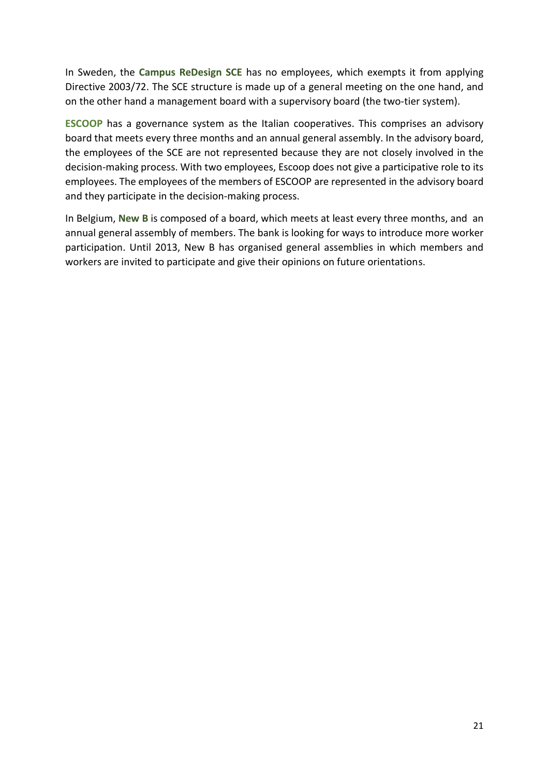In Sweden, the **Campus ReDesign SCE** has no employees, which exempts it from applying Directive 2003/72. The SCE structure is made up of a general meeting on the one hand, and on the other hand a management board with a supervisory board (the two-tier system).

**ESCOOP** has a governance system as the Italian cooperatives. This comprises an advisory board that meets every three months and an annual general assembly. In the advisory board, the employees of the SCE are not represented because they are not closely involved in the decision-making process. With two employees, Escoop does not give a participative role to its employees. The employees of the members of ESCOOP are represented in the advisory board and they participate in the decision-making process.

<span id="page-20-0"></span>In Belgium, **New B** is composed of a board, which meets at least every three months, and an annual general assembly of members. The bank is looking for ways to introduce more worker participation. Until 2013, New B has organised general assemblies in which members and workers are invited to participate and give their opinions on future orientations.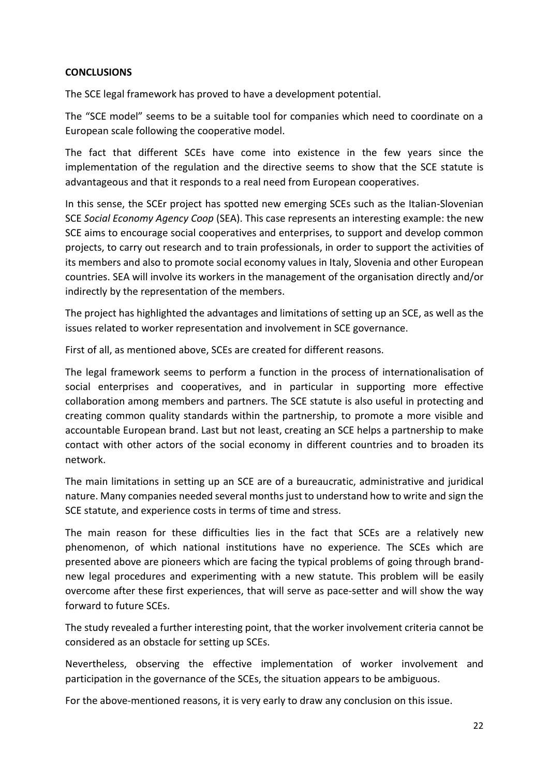#### **CONCLUSIONS**

The SCE legal framework has proved to have a development potential.

The "SCE model" seems to be a suitable tool for companies which need to coordinate on a European scale following the cooperative model.

The fact that different SCEs have come into existence in the few years since the implementation of the regulation and the directive seems to show that the SCE statute is advantageous and that it responds to a real need from European cooperatives.

In this sense, the SCEr project has spotted new emerging SCEs such as the Italian-Slovenian SCE *Social Economy Agency Coop* (SEA). This case represents an interesting example: the new SCE aims to encourage social cooperatives and enterprises, to support and develop common projects, to carry out research and to train professionals, in order to support the activities of its members and also to promote social economy values in Italy, Slovenia and other European countries. SEA will involve its workers in the management of the organisation directly and/or indirectly by the representation of the members.

The project has highlighted the advantages and limitations of setting up an SCE, as well as the issues related to worker representation and involvement in SCE governance.

First of all, as mentioned above, SCEs are created for different reasons.

The legal framework seems to perform a function in the process of internationalisation of social enterprises and cooperatives, and in particular in supporting more effective collaboration among members and partners. The SCE statute is also useful in protecting and creating common quality standards within the partnership, to promote a more visible and accountable European brand. Last but not least, creating an SCE helps a partnership to make contact with other actors of the social economy in different countries and to broaden its network.

The main limitations in setting up an SCE are of a bureaucratic, administrative and juridical nature. Many companies needed several months just to understand how to write and sign the SCE statute, and experience costs in terms of time and stress.

The main reason for these difficulties lies in the fact that SCEs are a relatively new phenomenon, of which national institutions have no experience. The SCEs which are presented above are pioneers which are facing the typical problems of going through brandnew legal procedures and experimenting with a new statute. This problem will be easily overcome after these first experiences, that will serve as pace-setter and will show the way forward to future SCEs.

The study revealed a further interesting point, that the worker involvement criteria cannot be considered as an obstacle for setting up SCEs.

Nevertheless, observing the effective implementation of worker involvement and participation in the governance of the SCEs, the situation appears to be ambiguous.

For the above-mentioned reasons, it is very early to draw any conclusion on this issue.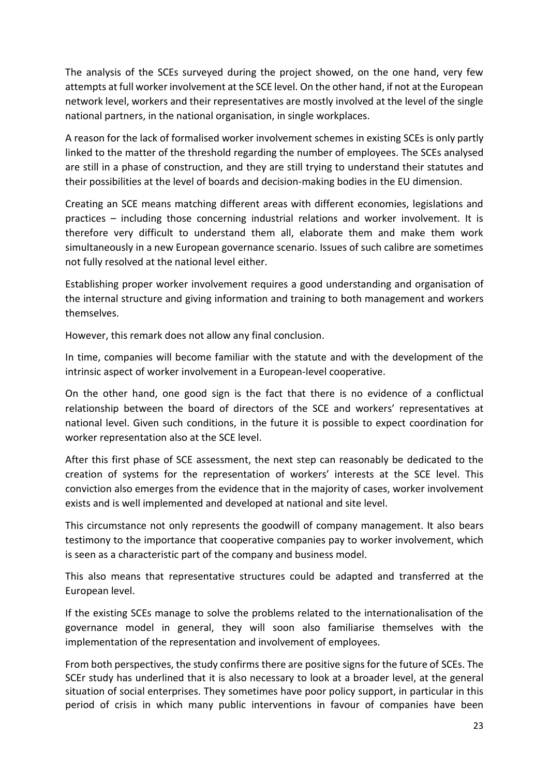The analysis of the SCEs surveyed during the project showed, on the one hand, very few attempts at full worker involvement at the SCE level. On the other hand, if not at the European network level, workers and their representatives are mostly involved at the level of the single national partners, in the national organisation, in single workplaces.

A reason for the lack of formalised worker involvement schemes in existing SCEs is only partly linked to the matter of the threshold regarding the number of employees. The SCEs analysed are still in a phase of construction, and they are still trying to understand their statutes and their possibilities at the level of boards and decision-making bodies in the EU dimension.

Creating an SCE means matching different areas with different economies, legislations and practices – including those concerning industrial relations and worker involvement. It is therefore very difficult to understand them all, elaborate them and make them work simultaneously in a new European governance scenario. Issues of such calibre are sometimes not fully resolved at the national level either.

Establishing proper worker involvement requires a good understanding and organisation of the internal structure and giving information and training to both management and workers themselves.

However, this remark does not allow any final conclusion.

In time, companies will become familiar with the statute and with the development of the intrinsic aspect of worker involvement in a European-level cooperative.

On the other hand, one good sign is the fact that there is no evidence of a conflictual relationship between the board of directors of the SCE and workers' representatives at national level. Given such conditions, in the future it is possible to expect coordination for worker representation also at the SCE level.

After this first phase of SCE assessment, the next step can reasonably be dedicated to the creation of systems for the representation of workers' interests at the SCE level. This conviction also emerges from the evidence that in the majority of cases, worker involvement exists and is well implemented and developed at national and site level.

This circumstance not only represents the goodwill of company management. It also bears testimony to the importance that cooperative companies pay to worker involvement, which is seen as a characteristic part of the company and business model.

This also means that representative structures could be adapted and transferred at the European level.

If the existing SCEs manage to solve the problems related to the internationalisation of the governance model in general, they will soon also familiarise themselves with the implementation of the representation and involvement of employees.

From both perspectives, the study confirms there are positive signs for the future of SCEs. The SCEr study has underlined that it is also necessary to look at a broader level, at the general situation of social enterprises. They sometimes have poor policy support, in particular in this period of crisis in which many public interventions in favour of companies have been